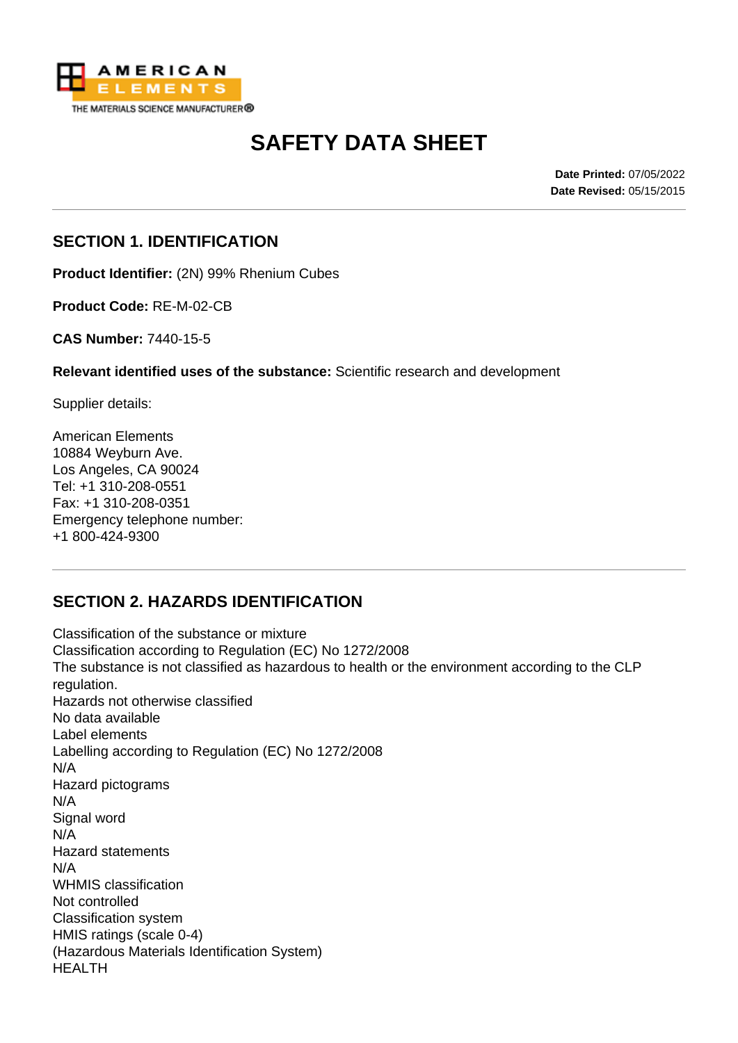

# **SAFETY DATA SHEET**

**Date Printed:** 07/05/2022 **Date Revised:** 05/15/2015

## **SECTION 1. IDENTIFICATION**

**Product Identifier:** (2N) 99% Rhenium Cubes

**Product Code:** RE-M-02-CB

**CAS Number:** 7440-15-5

**Relevant identified uses of the substance:** Scientific research and development

Supplier details:

American Elements 10884 Weyburn Ave. Los Angeles, CA 90024 Tel: +1 310-208-0551 Fax: +1 310-208-0351 Emergency telephone number: +1 800-424-9300

# **SECTION 2. HAZARDS IDENTIFICATION**

Classification of the substance or mixture Classification according to Regulation (EC) No 1272/2008 The substance is not classified as hazardous to health or the environment according to the CLP regulation. Hazards not otherwise classified No data available Label elements Labelling according to Regulation (EC) No 1272/2008 N/A Hazard pictograms N/A Signal word N/A Hazard statements N/A WHMIS classification Not controlled Classification system HMIS ratings (scale 0-4) (Hazardous Materials Identification System) HEALTH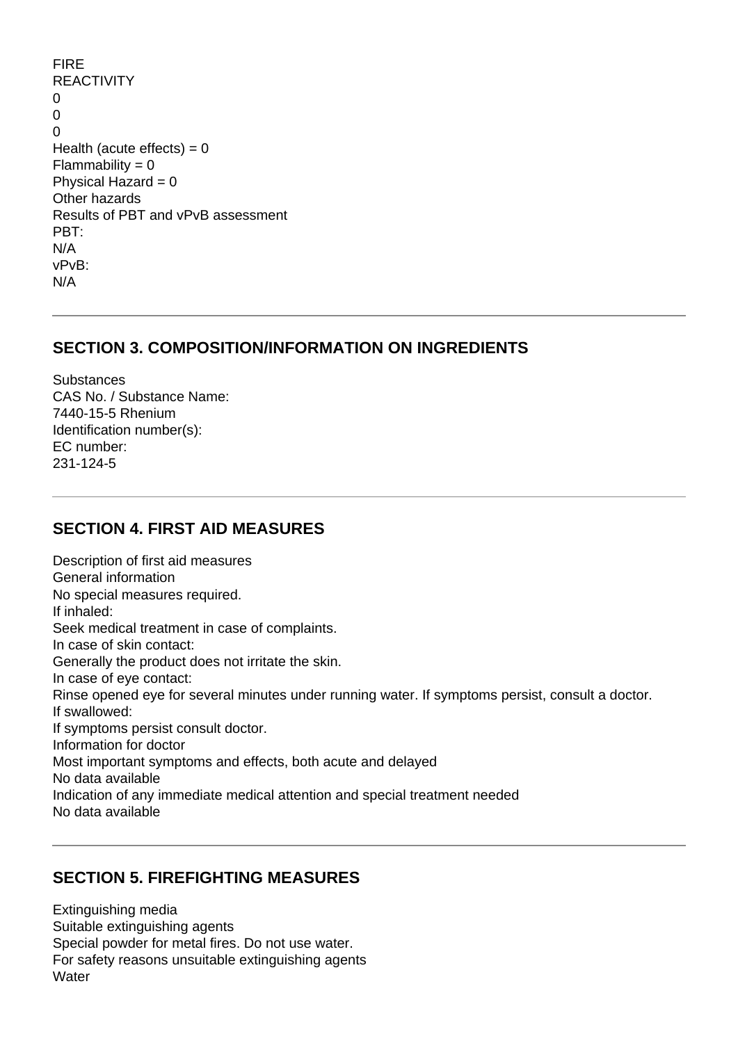FIRE REACTIVITY  $\Omega$ 0  $\Omega$ Health (acute effects)  $= 0$  $Flammability = 0$ Physical Hazard  $= 0$ Other hazards Results of PBT and vPvB assessment PBT: N/A vPvB: N/A

## **SECTION 3. COMPOSITION/INFORMATION ON INGREDIENTS**

**Substances** CAS No. / Substance Name: 7440-15-5 Rhenium Identification number(s): EC number: 231-124-5

## **SECTION 4. FIRST AID MEASURES**

Description of first aid measures General information No special measures required. If inhaled: Seek medical treatment in case of complaints. In case of skin contact: Generally the product does not irritate the skin. In case of eye contact: Rinse opened eye for several minutes under running water. If symptoms persist, consult a doctor. If swallowed: If symptoms persist consult doctor. Information for doctor Most important symptoms and effects, both acute and delayed No data available Indication of any immediate medical attention and special treatment needed No data available

# **SECTION 5. FIREFIGHTING MEASURES**

Extinguishing media Suitable extinguishing agents Special powder for metal fires. Do not use water. For safety reasons unsuitable extinguishing agents Water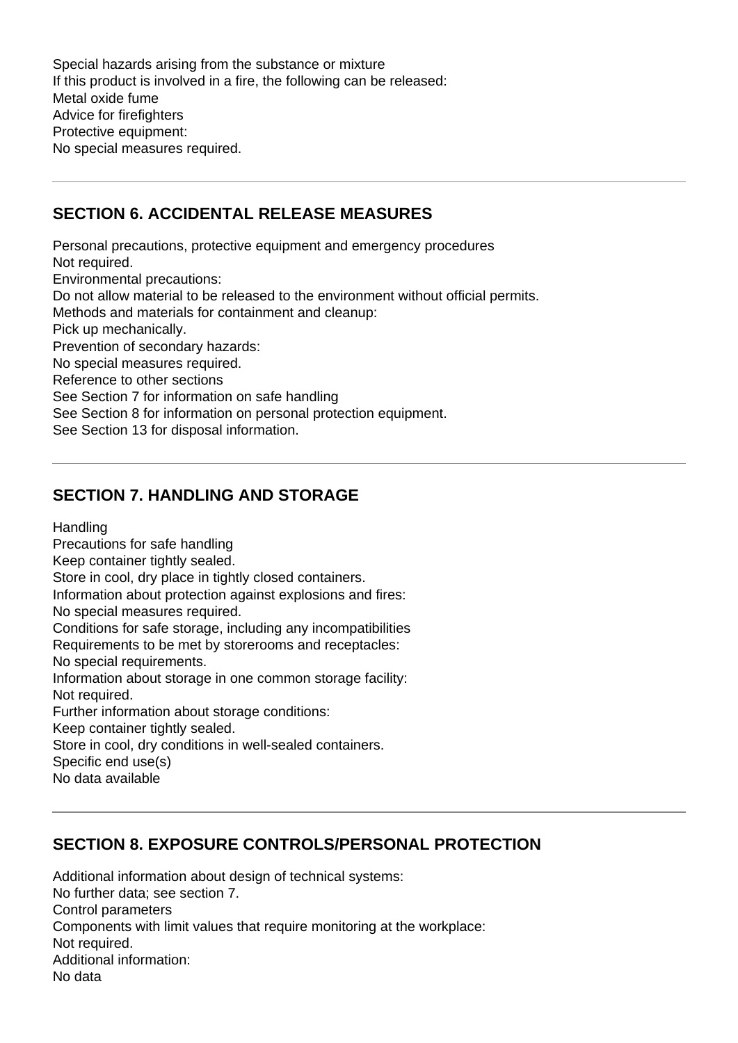Special hazards arising from the substance or mixture If this product is involved in a fire, the following can be released: Metal oxide fume Advice for firefighters Protective equipment: No special measures required.

## **SECTION 6. ACCIDENTAL RELEASE MEASURES**

Personal precautions, protective equipment and emergency procedures Not required. Environmental precautions: Do not allow material to be released to the environment without official permits. Methods and materials for containment and cleanup: Pick up mechanically. Prevention of secondary hazards: No special measures required. Reference to other sections See Section 7 for information on safe handling See Section 8 for information on personal protection equipment. See Section 13 for disposal information.

# **SECTION 7. HANDLING AND STORAGE**

**Handling** 

Precautions for safe handling Keep container tightly sealed. Store in cool, dry place in tightly closed containers. Information about protection against explosions and fires: No special measures required. Conditions for safe storage, including any incompatibilities Requirements to be met by storerooms and receptacles: No special requirements. Information about storage in one common storage facility: Not required. Further information about storage conditions: Keep container tightly sealed. Store in cool, dry conditions in well-sealed containers. Specific end use(s)

No data available

# **SECTION 8. EXPOSURE CONTROLS/PERSONAL PROTECTION**

Additional information about design of technical systems: No further data; see section 7. Control parameters Components with limit values that require monitoring at the workplace: Not required. Additional information: No data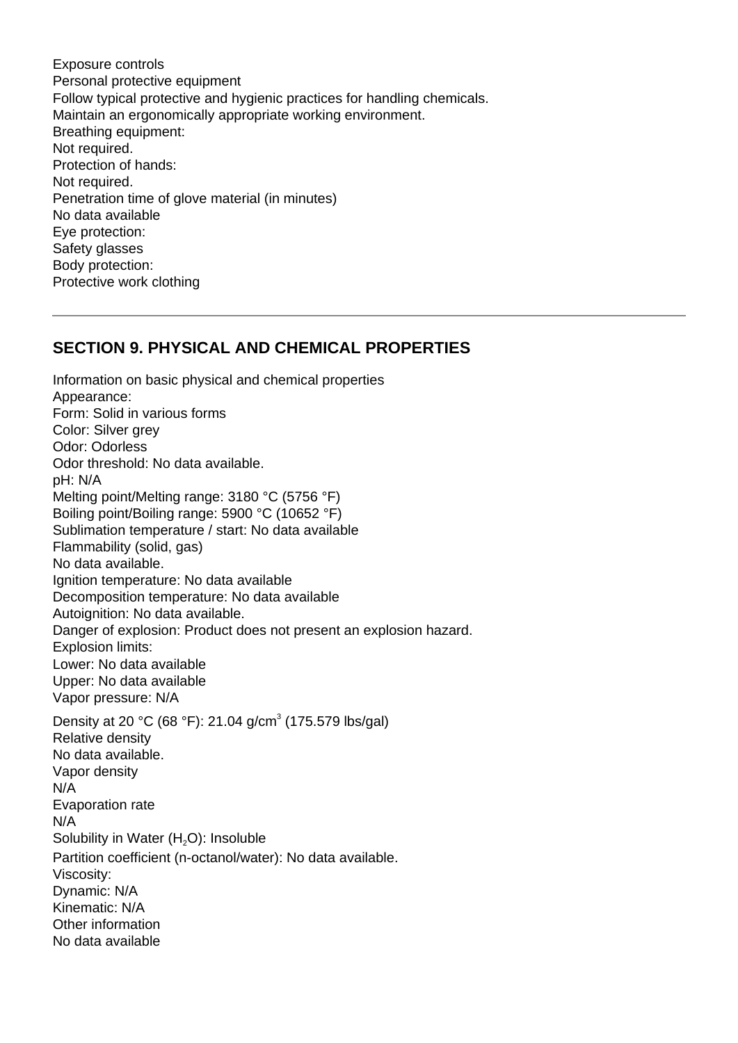Exposure controls Personal protective equipment Follow typical protective and hygienic practices for handling chemicals. Maintain an ergonomically appropriate working environment. Breathing equipment: Not required. Protection of hands: Not required. Penetration time of glove material (in minutes) No data available Eye protection: Safety glasses Body protection: Protective work clothing

#### **SECTION 9. PHYSICAL AND CHEMICAL PROPERTIES**

Information on basic physical and chemical properties Appearance: Form: Solid in various forms Color: Silver grev Odor: Odorless Odor threshold: No data available. pH: N/A Melting point/Melting range: 3180 °C (5756 °F) Boiling point/Boiling range: 5900 °C (10652 °F) Sublimation temperature / start: No data available Flammability (solid, gas) No data available. Ignition temperature: No data available Decomposition temperature: No data available Autoignition: No data available. Danger of explosion: Product does not present an explosion hazard. Explosion limits: Lower: No data available Upper: No data available Vapor pressure: N/A Density at 20 °C (68 °F): 21.04 g/cm<sup>3</sup> (175.579 lbs/gal) Relative density No data available. Vapor density N/A Evaporation rate N/A Solubility in Water  $(H<sub>2</sub>O)$ : Insoluble Partition coefficient (n-octanol/water): No data available. Viscosity: Dynamic: N/A Kinematic: N/A Other information No data available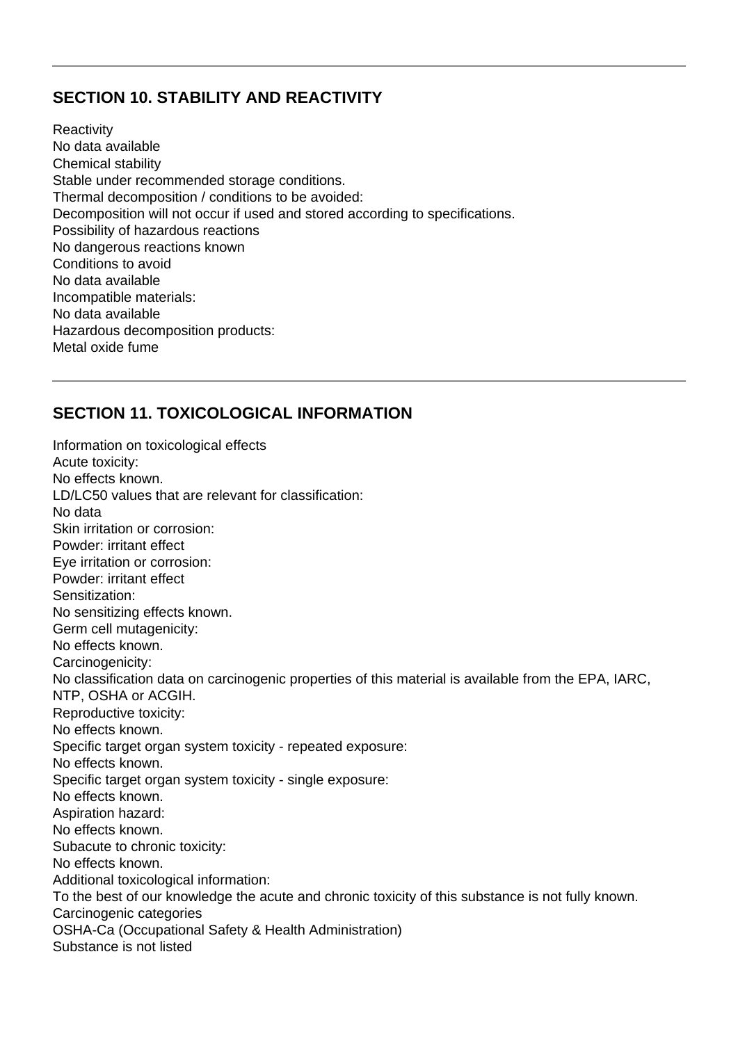## **SECTION 10. STABILITY AND REACTIVITY**

**Reactivity** No data available Chemical stability Stable under recommended storage conditions. Thermal decomposition / conditions to be avoided: Decomposition will not occur if used and stored according to specifications. Possibility of hazardous reactions No dangerous reactions known Conditions to avoid No data available Incompatible materials: No data available Hazardous decomposition products: Metal oxide fume

# **SECTION 11. TOXICOLOGICAL INFORMATION**

Information on toxicological effects Acute toxicity: No effects known. LD/LC50 values that are relevant for classification: No data Skin irritation or corrosion: Powder: irritant effect Eye irritation or corrosion: Powder: irritant effect Sensitization: No sensitizing effects known. Germ cell mutagenicity: No effects known. Carcinogenicity: No classification data on carcinogenic properties of this material is available from the EPA, IARC, NTP, OSHA or ACGIH. Reproductive toxicity: No effects known. Specific target organ system toxicity - repeated exposure: No effects known. Specific target organ system toxicity - single exposure: No effects known. Aspiration hazard: No effects known. Subacute to chronic toxicity: No effects known. Additional toxicological information: To the best of our knowledge the acute and chronic toxicity of this substance is not fully known. Carcinogenic categories OSHA-Ca (Occupational Safety & Health Administration) Substance is not listed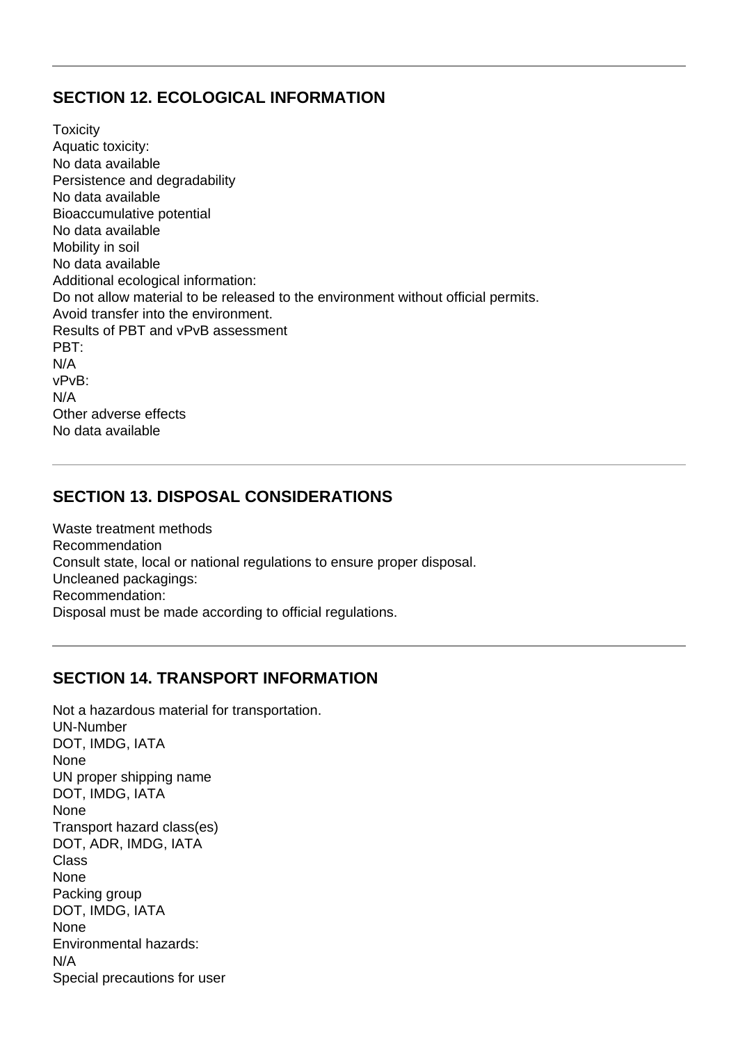## **SECTION 12. ECOLOGICAL INFORMATION**

**Toxicity** Aquatic toxicity: No data available Persistence and degradability No data available Bioaccumulative potential No data available Mobility in soil No data available Additional ecological information: Do not allow material to be released to the environment without official permits. Avoid transfer into the environment. Results of PBT and vPvB assessment PBT: N/A vPvB: N/A Other adverse effects No data available

# **SECTION 13. DISPOSAL CONSIDERATIONS**

Waste treatment methods Recommendation Consult state, local or national regulations to ensure proper disposal. Uncleaned packagings: Recommendation: Disposal must be made according to official regulations.

## **SECTION 14. TRANSPORT INFORMATION**

Not a hazardous material for transportation. UN-Number DOT, IMDG, IATA None UN proper shipping name DOT, IMDG, IATA None Transport hazard class(es) DOT, ADR, IMDG, IATA Class None Packing group DOT, IMDG, IATA None Environmental hazards: N/A Special precautions for user